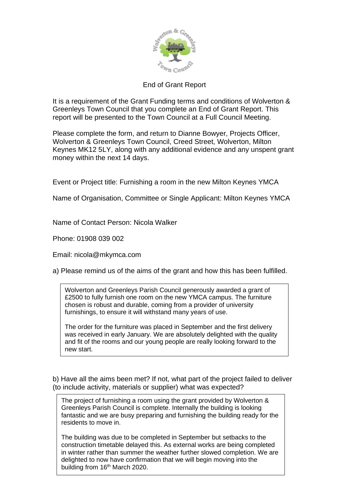

## End of Grant Report

It is a requirement of the Grant Funding terms and conditions of Wolverton & Greenleys Town Council that you complete an End of Grant Report. This report will be presented to the Town Council at a Full Council Meeting.

Please complete the form, and return to Dianne Bowyer, Projects Officer, Wolverton & Greenleys Town Council, Creed Street, Wolverton, Milton Keynes MK12 5LY, along with any additional evidence and any unspent grant money within the next 14 days.

Event or Project title: Furnishing a room in the new Milton Keynes YMCA

Name of Organisation, Committee or Single Applicant: Milton Keynes YMCA

Name of Contact Person: Nicola Walker

Phone: 01908 039 002

Email: nicola@mkymca.com

a) Please remind us of the aims of the grant and how this has been fulfilled.

Wolverton and Greenleys Parish Council generously awarded a grant of £2500 to fully furnish one room on the new YMCA campus. The furniture chosen is robust and durable, coming from a provider of university furnishings, to ensure it will withstand many years of use.

The order for the furniture was placed in September and the first delivery was received in early January. We are absolutely delighted with the quality and fit of the rooms and our young people are really looking forward to the new start.

b) Have all the aims been met? If not, what part of the project failed to deliver (to include activity, materials or supplier) what was expected?

The project of furnishing a room using the grant provided by Wolverton & Greenleys Parish Council is complete. Internally the building is looking fantastic and we are busy preparing and furnishing the building ready for the residents to move in.

The building was due to be completed in September but setbacks to the construction timetable delayed this. As external works are being completed in winter rather than summer the weather further slowed completion. We are delighted to now have confirmation that we will begin moving into the building from 16<sup>th</sup> March 2020.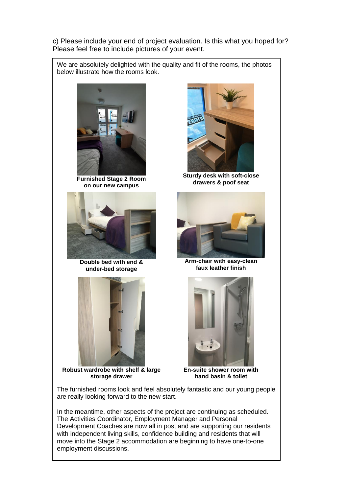c) Please include your end of project evaluation. Is this what you hoped for? Please feel free to include pictures of your event.

We are absolutely delighted with the quality and fit of the rooms, the photos below illustrate how the rooms look.



**Furnished Stage 2 Room on our new campus**



**Double bed with end & under-bed storage**



**Robust wardrobe with shelf & large storage drawer**



**Sturdy desk with soft-close drawers & poof seat**



**Arm-chair with easy-clean faux leather finish**



**En-suite shower room with hand basin & toilet**

The furnished rooms look and feel absolutely fantastic and our young people are really looking forward to the new start.

In the meantime, other aspects of the project are continuing as scheduled. The Activities Coordinator, Employment Manager and Personal Development Coaches are now all in post and are supporting our residents with independent living skills, confidence building and residents that will move into the Stage 2 accommodation are beginning to have one-to-one employment discussions.